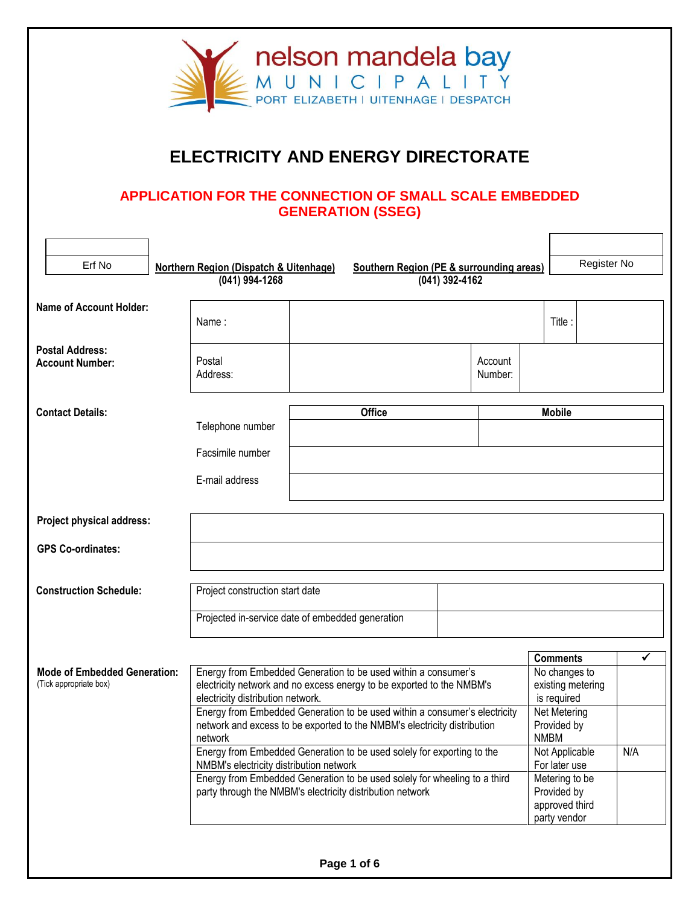

## **ELECTRICITY AND ENERGY DIRECTORATE**

## **APPLICATION FOR THE CONNECTION OF SMALL SCALE EMBEDDED GENERATION (SSEG)**

| Erf No                                                        | <b>Northern Region (Dispatch &amp; Uitenhage)</b>                                                                                                                            |                                                                                                                                        | Southern Region (PE & surrounding areas) |                |                    |                                                                 |                                                   | Register No |
|---------------------------------------------------------------|------------------------------------------------------------------------------------------------------------------------------------------------------------------------------|----------------------------------------------------------------------------------------------------------------------------------------|------------------------------------------|----------------|--------------------|-----------------------------------------------------------------|---------------------------------------------------|-------------|
|                                                               | (041) 994-1268                                                                                                                                                               |                                                                                                                                        |                                          | (041) 392-4162 |                    |                                                                 |                                                   |             |
| <b>Name of Account Holder:</b>                                | Name:                                                                                                                                                                        |                                                                                                                                        |                                          |                |                    |                                                                 | Title:                                            |             |
| <b>Postal Address:</b><br><b>Account Number:</b>              | Postal<br>Address:                                                                                                                                                           |                                                                                                                                        |                                          |                | Account<br>Number: |                                                                 |                                                   |             |
| <b>Contact Details:</b>                                       | Telephone number                                                                                                                                                             |                                                                                                                                        | <b>Office</b>                            |                |                    |                                                                 | <b>Mobile</b>                                     |             |
|                                                               | Facsimile number                                                                                                                                                             |                                                                                                                                        |                                          |                |                    |                                                                 |                                                   |             |
|                                                               | E-mail address                                                                                                                                                               |                                                                                                                                        |                                          |                |                    |                                                                 |                                                   |             |
| Project physical address:                                     |                                                                                                                                                                              |                                                                                                                                        |                                          |                |                    |                                                                 |                                                   |             |
| <b>GPS Co-ordinates:</b>                                      |                                                                                                                                                                              |                                                                                                                                        |                                          |                |                    |                                                                 |                                                   |             |
| <b>Construction Schedule:</b>                                 | Project construction start date                                                                                                                                              |                                                                                                                                        |                                          |                |                    |                                                                 |                                                   |             |
|                                                               | Projected in-service date of embedded generation                                                                                                                             |                                                                                                                                        |                                          |                |                    |                                                                 |                                                   |             |
|                                                               |                                                                                                                                                                              |                                                                                                                                        |                                          |                |                    |                                                                 | <b>Comments</b>                                   | ✓           |
| <b>Mode of Embedded Generation:</b><br>(Tick appropriate box) | Energy from Embedded Generation to be used within a consumer's<br>electricity network and no excess energy to be exported to the NMBM's<br>electricity distribution network. |                                                                                                                                        |                                          |                |                    |                                                                 | No changes to<br>existing metering<br>is required |             |
|                                                               | Energy from Embedded Generation to be used within a consumer's electricity<br>network and excess to be exported to the NMBM's electricity distribution<br>network            |                                                                                                                                        |                                          |                |                    | <b>NMBM</b>                                                     | Net Metering<br>Provided by                       |             |
|                                                               |                                                                                                                                                                              | Energy from Embedded Generation to be used solely for exporting to the<br>NMBM's electricity distribution network                      |                                          |                |                    | Not Applicable<br>For later use                                 | N/A                                               |             |
|                                                               |                                                                                                                                                                              | Energy from Embedded Generation to be used solely for wheeling to a third<br>party through the NMBM's electricity distribution network |                                          |                |                    | Metering to be<br>Provided by<br>approved third<br>party vendor |                                                   |             |
|                                                               |                                                                                                                                                                              |                                                                                                                                        |                                          |                |                    |                                                                 |                                                   |             |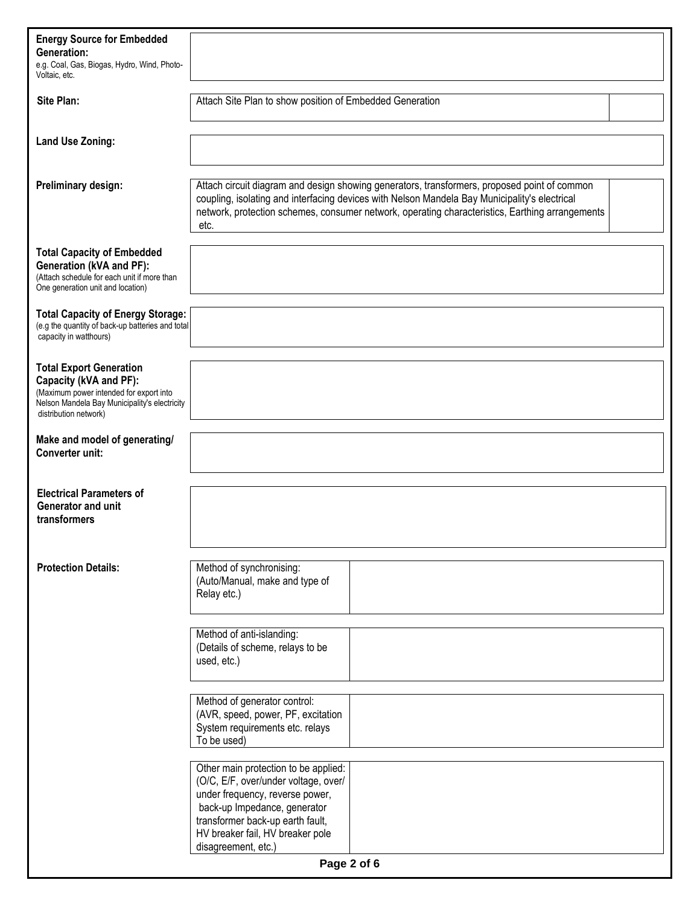| <b>Energy Source for Embedded</b><br><b>Generation:</b><br>e.g. Coal, Gas, Biogas, Hydro, Wind, Photo-<br>Voltaic, etc.                                                       |                                                                                                                                                                                                                                                                                                          |  |  |  |  |
|-------------------------------------------------------------------------------------------------------------------------------------------------------------------------------|----------------------------------------------------------------------------------------------------------------------------------------------------------------------------------------------------------------------------------------------------------------------------------------------------------|--|--|--|--|
| Site Plan:                                                                                                                                                                    | Attach Site Plan to show position of Embedded Generation                                                                                                                                                                                                                                                 |  |  |  |  |
| <b>Land Use Zoning:</b>                                                                                                                                                       |                                                                                                                                                                                                                                                                                                          |  |  |  |  |
| Preliminary design:                                                                                                                                                           | Attach circuit diagram and design showing generators, transformers, proposed point of common<br>coupling, isolating and interfacing devices with Nelson Mandela Bay Municipality's electrical<br>network, protection schemes, consumer network, operating characteristics, Earthing arrangements<br>etc. |  |  |  |  |
| <b>Total Capacity of Embedded</b><br><b>Generation (kVA and PF):</b><br>(Attach schedule for each unit if more than<br>One generation unit and location)                      |                                                                                                                                                                                                                                                                                                          |  |  |  |  |
| <b>Total Capacity of Energy Storage:</b><br>(e.g the quantity of back-up batteries and total<br>capacity in watthours)                                                        |                                                                                                                                                                                                                                                                                                          |  |  |  |  |
| <b>Total Export Generation</b><br>Capacity (kVA and PF):<br>(Maximum power intended for export into<br>Nelson Mandela Bay Municipality's electricity<br>distribution network) |                                                                                                                                                                                                                                                                                                          |  |  |  |  |
| Make and model of generating/<br>Converter unit:                                                                                                                              |                                                                                                                                                                                                                                                                                                          |  |  |  |  |
| <b>Electrical Parameters of</b><br><b>Generator and unit</b><br>transformers                                                                                                  |                                                                                                                                                                                                                                                                                                          |  |  |  |  |
| <b>Protection Details:</b>                                                                                                                                                    | Method of synchronising:<br>(Auto/Manual, make and type of<br>Relay etc.)                                                                                                                                                                                                                                |  |  |  |  |
|                                                                                                                                                                               | Method of anti-islanding:<br>(Details of scheme, relays to be<br>used, etc.)                                                                                                                                                                                                                             |  |  |  |  |
|                                                                                                                                                                               | Method of generator control:<br>(AVR, speed, power, PF, excitation<br>System requirements etc. relays<br>To be used)                                                                                                                                                                                     |  |  |  |  |
|                                                                                                                                                                               | Other main protection to be applied:<br>(O/C, E/F, over/under voltage, over/<br>under frequency, reverse power,<br>back-up Impedance, generator<br>transformer back-up earth fault,<br>HV breaker fail, HV breaker pole<br>disagreement, etc.)                                                           |  |  |  |  |
|                                                                                                                                                                               | Page 2 of 6                                                                                                                                                                                                                                                                                              |  |  |  |  |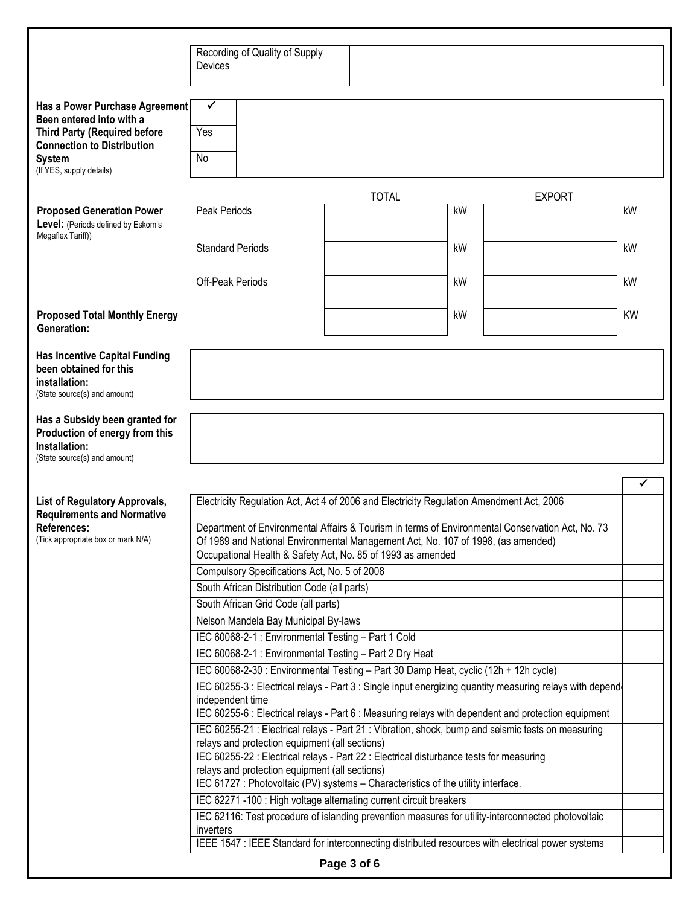|                                                                          | Recording of Quality of Supply                                                                                                            |              |                                                                                                          |           |  |  |
|--------------------------------------------------------------------------|-------------------------------------------------------------------------------------------------------------------------------------------|--------------|----------------------------------------------------------------------------------------------------------|-----------|--|--|
|                                                                          | Devices                                                                                                                                   |              |                                                                                                          |           |  |  |
|                                                                          |                                                                                                                                           |              |                                                                                                          |           |  |  |
|                                                                          |                                                                                                                                           |              |                                                                                                          |           |  |  |
| Has a Power Purchase Agreement                                           | $\checkmark$                                                                                                                              |              |                                                                                                          |           |  |  |
| Been entered into with a                                                 | Yes                                                                                                                                       |              |                                                                                                          |           |  |  |
| <b>Third Party (Required before</b><br><b>Connection to Distribution</b> |                                                                                                                                           |              |                                                                                                          |           |  |  |
| <b>System</b>                                                            | No                                                                                                                                        |              |                                                                                                          |           |  |  |
| (If YES, supply details)                                                 |                                                                                                                                           |              |                                                                                                          |           |  |  |
|                                                                          |                                                                                                                                           |              |                                                                                                          |           |  |  |
|                                                                          |                                                                                                                                           | <b>TOTAL</b> | <b>EXPORT</b>                                                                                            |           |  |  |
| <b>Proposed Generation Power</b>                                         | Peak Periods                                                                                                                              |              | kW                                                                                                       | kW        |  |  |
| Level: (Periods defined by Eskom's<br>Megaflex Tariff))                  |                                                                                                                                           |              |                                                                                                          |           |  |  |
|                                                                          | <b>Standard Periods</b>                                                                                                                   |              | kW                                                                                                       | kW        |  |  |
|                                                                          |                                                                                                                                           |              |                                                                                                          |           |  |  |
|                                                                          | <b>Off-Peak Periods</b>                                                                                                                   |              | kW                                                                                                       | kW        |  |  |
|                                                                          |                                                                                                                                           |              |                                                                                                          |           |  |  |
|                                                                          |                                                                                                                                           |              | kW                                                                                                       | <b>KW</b> |  |  |
| <b>Proposed Total Monthly Energy</b><br>Generation:                      |                                                                                                                                           |              |                                                                                                          |           |  |  |
|                                                                          |                                                                                                                                           |              |                                                                                                          |           |  |  |
| <b>Has Incentive Capital Funding</b>                                     |                                                                                                                                           |              |                                                                                                          |           |  |  |
| been obtained for this                                                   |                                                                                                                                           |              |                                                                                                          |           |  |  |
| installation:                                                            |                                                                                                                                           |              |                                                                                                          |           |  |  |
| (State source(s) and amount)                                             |                                                                                                                                           |              |                                                                                                          |           |  |  |
| Has a Subsidy been granted for                                           |                                                                                                                                           |              |                                                                                                          |           |  |  |
| Production of energy from this                                           |                                                                                                                                           |              |                                                                                                          |           |  |  |
| Installation:                                                            |                                                                                                                                           |              |                                                                                                          |           |  |  |
| (State source(s) and amount)                                             |                                                                                                                                           |              |                                                                                                          |           |  |  |
|                                                                          |                                                                                                                                           |              |                                                                                                          |           |  |  |
|                                                                          | ✔                                                                                                                                         |              |                                                                                                          |           |  |  |
| <b>List of Regulatory Approvals,</b>                                     | Electricity Regulation Act, Act 4 of 2006 and Electricity Regulation Amendment Act, 2006                                                  |              |                                                                                                          |           |  |  |
| <b>Requirements and Normative</b><br><b>References:</b>                  |                                                                                                                                           |              | Department of Environmental Affairs & Tourism in terms of Environmental Conservation Act, No. 73         |           |  |  |
| (Tick appropriate box or mark N/A)                                       | Of 1989 and National Environmental Management Act, No. 107 of 1998, (as amended)                                                          |              |                                                                                                          |           |  |  |
|                                                                          | Occupational Health & Safety Act, No. 85 of 1993 as amended                                                                               |              |                                                                                                          |           |  |  |
|                                                                          | Compulsory Specifications Act, No. 5 of 2008                                                                                              |              |                                                                                                          |           |  |  |
|                                                                          | South African Distribution Code (all parts)                                                                                               |              |                                                                                                          |           |  |  |
|                                                                          | South African Grid Code (all parts)                                                                                                       |              |                                                                                                          |           |  |  |
|                                                                          | Nelson Mandela Bay Municipal By-laws                                                                                                      |              |                                                                                                          |           |  |  |
|                                                                          |                                                                                                                                           |              |                                                                                                          |           |  |  |
|                                                                          | IEC 60068-2-1 : Environmental Testing - Part 1 Cold                                                                                       |              |                                                                                                          |           |  |  |
|                                                                          |                                                                                                                                           |              |                                                                                                          |           |  |  |
|                                                                          | IEC 60068-2-1 : Environmental Testing - Part 2 Dry Heat                                                                                   |              |                                                                                                          |           |  |  |
|                                                                          | IEC 60068-2-30 : Environmental Testing - Part 30 Damp Heat, cyclic (12h + 12h cycle)                                                      |              |                                                                                                          |           |  |  |
|                                                                          |                                                                                                                                           |              | IEC 60255-3 : Electrical relays - Part 3 : Single input energizing quantity measuring relays with depend |           |  |  |
|                                                                          | independent time                                                                                                                          |              |                                                                                                          |           |  |  |
|                                                                          |                                                                                                                                           |              | IEC 60255-6 : Electrical relays - Part 6 : Measuring relays with dependent and protection equipment      |           |  |  |
|                                                                          |                                                                                                                                           |              | IEC 60255-21 : Electrical relays - Part 21 : Vibration, shock, bump and seismic tests on measuring       |           |  |  |
|                                                                          | relays and protection equipment (all sections)<br>IEC 60255-22 : Electrical relays - Part 22 : Electrical disturbance tests for measuring |              |                                                                                                          |           |  |  |
|                                                                          | relays and protection equipment (all sections)                                                                                            |              |                                                                                                          |           |  |  |
|                                                                          | IEC 61727 : Photovoltaic (PV) systems - Characteristics of the utility interface.                                                         |              |                                                                                                          |           |  |  |
|                                                                          | IEC 62271-100 : High voltage alternating current circuit breakers                                                                         |              |                                                                                                          |           |  |  |
|                                                                          |                                                                                                                                           |              | IEC 62116: Test procedure of islanding prevention measures for utility-interconnected photovoltaic       |           |  |  |
|                                                                          | inverters                                                                                                                                 |              |                                                                                                          |           |  |  |
|                                                                          |                                                                                                                                           |              | IEEE 1547 : IEEE Standard for interconnecting distributed resources with electrical power systems        |           |  |  |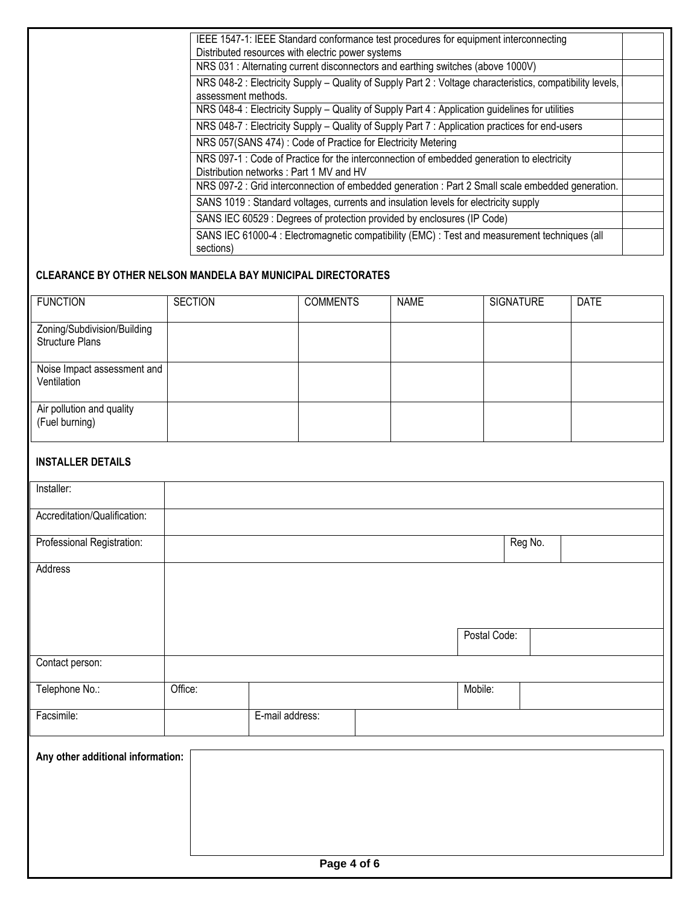| IEEE 1547-1: IEEE Standard conformance test procedures for equipment interconnecting                                                  |  |
|---------------------------------------------------------------------------------------------------------------------------------------|--|
| Distributed resources with electric power systems                                                                                     |  |
| NRS 031 : Alternating current disconnectors and earthing switches (above 1000V)                                                       |  |
| NRS 048-2: Electricity Supply – Quality of Supply Part 2: Voltage characteristics, compatibility levels,<br>assessment methods.       |  |
| NRS 048-4 : Electricity Supply - Quality of Supply Part 4 : Application guidelines for utilities                                      |  |
| NRS 048-7 : Electricity Supply - Quality of Supply Part 7 : Application practices for end-users                                       |  |
| NRS 057(SANS 474): Code of Practice for Electricity Metering                                                                          |  |
| NRS 097-1 : Code of Practice for the interconnection of embedded generation to electricity<br>Distribution networks: Part 1 MV and HV |  |
| NRS 097-2 : Grid interconnection of embedded generation : Part 2 Small scale embedded generation.                                     |  |
| SANS 1019 : Standard voltages, currents and insulation levels for electricity supply                                                  |  |
| SANS IEC 60529 : Degrees of protection provided by enclosures (IP Code)                                                               |  |
| SANS IEC 61000-4 : Electromagnetic compatibility (EMC) : Test and measurement techniques (all<br>sections)                            |  |

## **CLEARANCE BY OTHER NELSON MANDELA BAY MUNICIPAL DIRECTORATES**

| <b>FUNCTION</b>                                       | <b>SECTION</b> | <b>COMMENTS</b> | <b>NAME</b> | <b>SIGNATURE</b> | <b>DATE</b> |
|-------------------------------------------------------|----------------|-----------------|-------------|------------------|-------------|
| Zoning/Subdivision/Building<br><b>Structure Plans</b> |                |                 |             |                  |             |
| Noise Impact assessment and<br>Ventilation            |                |                 |             |                  |             |
| Air pollution and quality<br>(Fuel burning)           |                |                 |             |                  |             |

## **INSTALLER DETAILS**

| Installer:                        |         |                 |  |              |         |
|-----------------------------------|---------|-----------------|--|--------------|---------|
| Accreditation/Qualification:      |         |                 |  |              |         |
| Professional Registration:        |         |                 |  |              | Reg No. |
| Address                           |         |                 |  |              |         |
|                                   |         |                 |  |              |         |
|                                   |         |                 |  | Postal Code: |         |
| Contact person:                   |         |                 |  |              |         |
| Telephone No.:                    | Office: |                 |  | Mobile:      |         |
| Facsimile:                        |         | E-mail address: |  |              |         |
| Any other additional information: |         |                 |  |              |         |
|                                   |         |                 |  |              |         |
|                                   |         |                 |  |              |         |
|                                   |         |                 |  |              |         |
|                                   |         | $P = 1.60$      |  |              |         |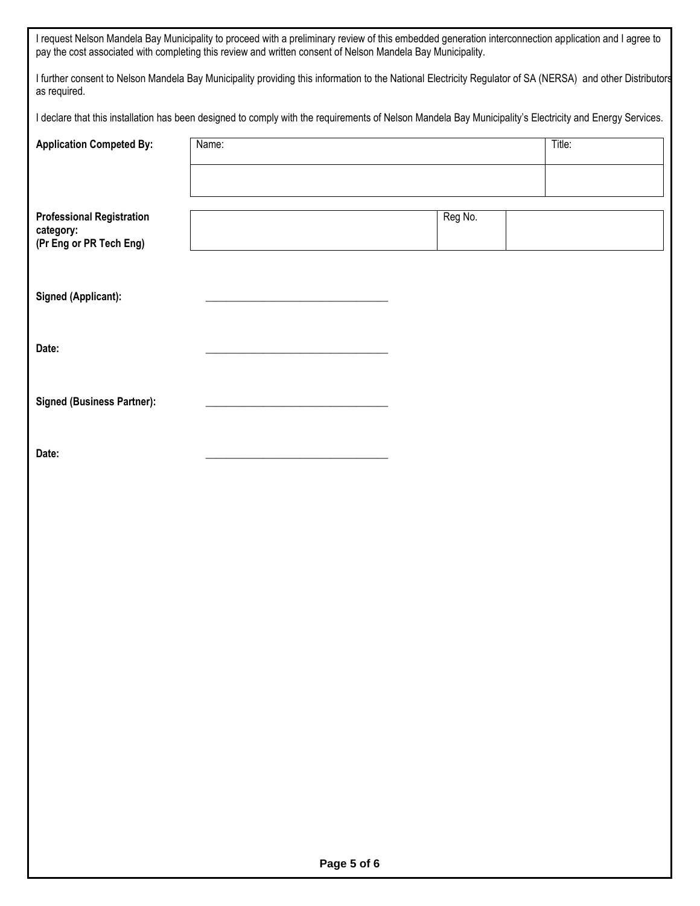| I request Nelson Mandela Bay Municipality to proceed with a preliminary review of this embedded generation interconnection application and I agree to |
|-------------------------------------------------------------------------------------------------------------------------------------------------------|
| pay the cost associated with completing this review and written consent of Nelson Mandela Bay Municipality.                                           |

I further consent to Nelson Mandela Bay Municipality providing this information to the National Electricity Regulator of SA (NERSA) and other Distributors as required.

I declare that this installation has been designed to comply with the requirements of Nelson Mandela Bay Municipality's Electricity and Energy Services.

| <b>Application Competed By:</b>                                          | Name: |         | Title: |
|--------------------------------------------------------------------------|-------|---------|--------|
|                                                                          |       |         |        |
| <b>Professional Registration</b><br>category:<br>(Pr Eng or PR Tech Eng) |       | Reg No. |        |
| <b>Signed (Applicant):</b>                                               |       |         |        |
| Date:                                                                    |       |         |        |
| <b>Signed (Business Partner):</b>                                        |       |         |        |
| Date:                                                                    |       |         |        |
|                                                                          |       |         |        |